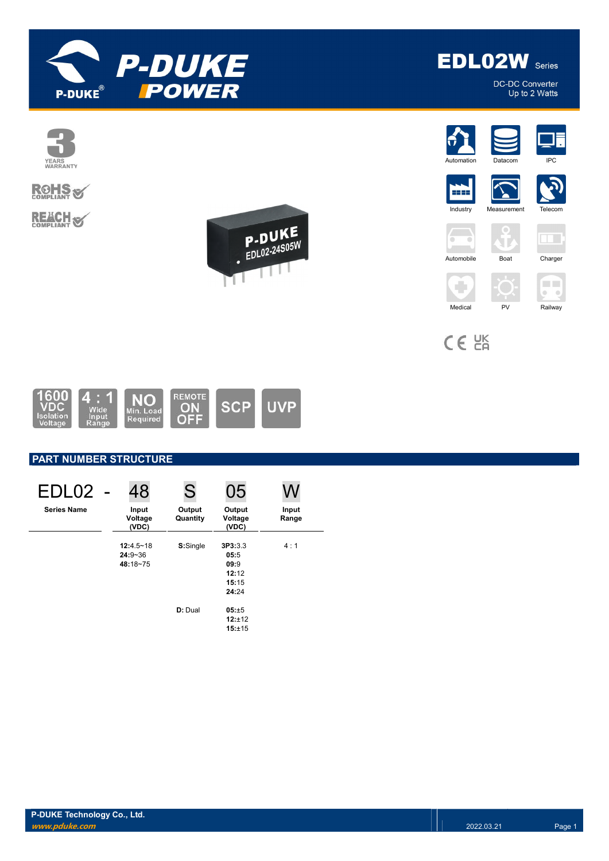

**EDLO2W** Series DC-DC Converter

Up to 2 Watts



CE EK



# PART NUMBER STRUCTURE

| EDL02              | 48                                       | S                  | 05                                                 |                |
|--------------------|------------------------------------------|--------------------|----------------------------------------------------|----------------|
| <b>Series Name</b> | Input<br>Voltage<br>(VDC)                | Output<br>Quantity | Output<br>Voltage<br>(VDC)                         | Input<br>Range |
|                    | $12:4.5 - 18$<br>$24:9 - 36$<br>48:18~75 | S:Single           | 3P3:3.3<br>05:5<br>09:9<br>12:12<br>15:15<br>24:24 | 4:1            |
|                    |                                          | D: Dual            | 05:±5<br>12:±12<br>15:±15                          |                |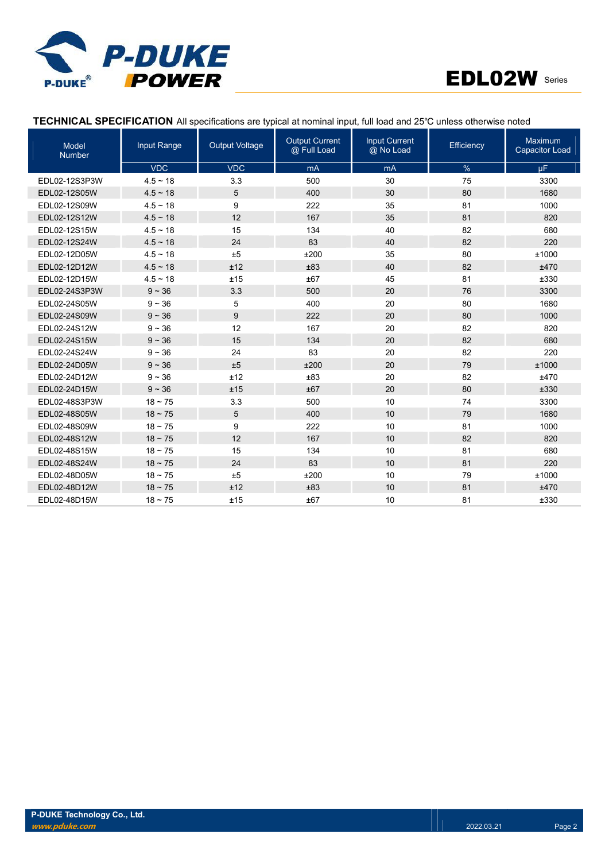



## TECHNICAL SPECIFICATION All specifications are typical at nominal input, full load and 25℃ unless otherwise noted

| <b>Model</b><br><b>Number</b> | Input Range   | <b>Output Voltage</b> | <b>Output Current</b><br>@ Full Load | <b>Input Current</b><br>@ No Load | Efficiency | Maximum<br><b>Capacitor Load</b> |
|-------------------------------|---------------|-----------------------|--------------------------------------|-----------------------------------|------------|----------------------------------|
|                               | <b>VDC</b>    | <b>VDC</b>            | mA                                   | mA                                | %          | <b>uF</b>                        |
| EDL02-12S3P3W                 | $4.5 - 18$    | 3.3                   | 500                                  | 30                                | 75         | 3300                             |
| EDL02-12S05W                  | $4.5 \sim 18$ | 5                     | 400                                  | 30                                | 80         | 1680                             |
| EDL02-12S09W                  | $4.5 \sim 18$ | 9                     | 222                                  | 35                                | 81         | 1000                             |
| EDL02-12S12W                  | $4.5 \sim 18$ | 12                    | 167                                  | 35                                | 81         | 820                              |
| EDL02-12S15W                  | $4.5 \sim 18$ | 15                    | 134                                  | 40                                | 82         | 680                              |
| EDL02-12S24W                  | $4.5 \sim 18$ | 24                    | 83                                   | 40                                | 82         | 220                              |
| EDL02-12D05W                  | $4.5 - 18$    | ±5                    | ±200                                 | 35                                | 80         | ±1000                            |
| EDL02-12D12W                  | $4.5 \sim 18$ | ±12                   | ±83                                  | 40                                | 82         | ±470                             |
| EDL02-12D15W                  | $4.5 \sim 18$ | ±15                   | ±67                                  | 45                                | 81         | ±330                             |
| EDL02-24S3P3W                 | $9 - 36$      | 3.3                   | 500                                  | 20                                | 76         | 3300                             |
| EDL02-24S05W                  | $9 - 36$      | 5                     | 400                                  | 20                                | 80         | 1680                             |
| EDL02-24S09W                  | $9 - 36$      | 9                     | 222                                  | 20                                | 80         | 1000                             |
| EDL02-24S12W                  | $9 - 36$      | 12                    | 167                                  | 20                                | 82         | 820                              |
| EDL02-24S15W                  | $9 - 36$      | 15                    | 134                                  | 20                                | 82         | 680                              |
| EDL02-24S24W                  | $9 - 36$      | 24                    | 83                                   | 20                                | 82         | 220                              |
| EDL02-24D05W                  | $9 - 36$      | ±5                    | ±200                                 | 20                                | 79         | ±1000                            |
| EDL02-24D12W                  | $9 - 36$      | ±12                   | ±83                                  | 20                                | 82         | ±470                             |
| EDL02-24D15W                  | $9 - 36$      | ±15                   | ±67                                  | 20                                | 80         | ±330                             |
| EDL02-48S3P3W                 | $18 - 75$     | 3.3                   | 500                                  | 10                                | 74         | 3300                             |
| EDL02-48S05W                  | $18 - 75$     | 5                     | 400                                  | 10                                | 79         | 1680                             |
| EDL02-48S09W                  | $18 - 75$     | 9                     | 222                                  | 10                                | 81         | 1000                             |
| EDL02-48S12W                  | $18 \sim 75$  | 12                    | 167                                  | 10                                | 82         | 820                              |
| EDL02-48S15W                  | $18 - 75$     | 15                    | 134                                  | 10                                | 81         | 680                              |
| EDL02-48S24W                  | $18 - 75$     | 24                    | 83                                   | 10                                | 81         | 220                              |
| EDL02-48D05W                  | $18 - 75$     | ±5                    | ±200                                 | 10                                | 79         | ±1000                            |
| EDL02-48D12W                  | $18 \sim 75$  | ±12                   | ±83                                  | 10                                | 81         | ±470                             |
| EDL02-48D15W                  | $18 - 75$     | ±15                   | ±67                                  | 10                                | 81         | ±330                             |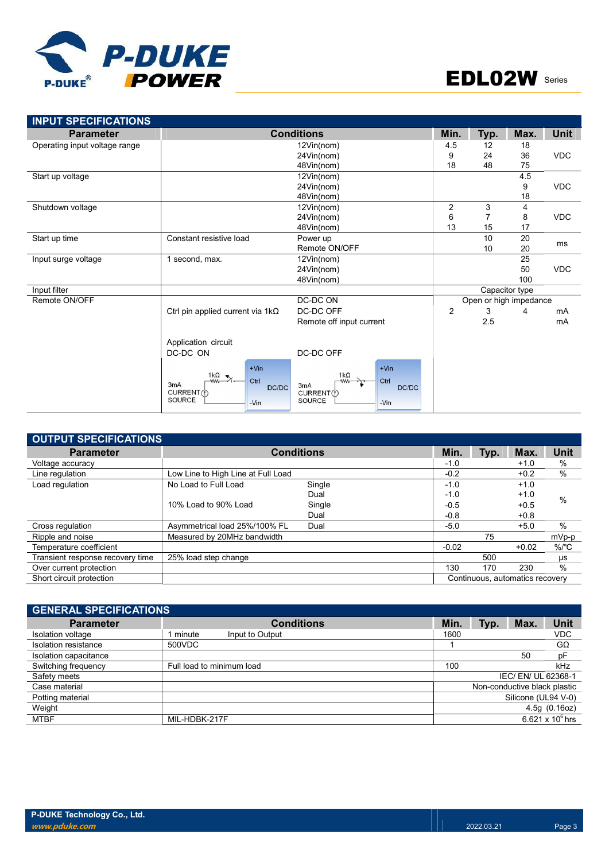

| <b>INPUT SPECIFICATIONS</b>   |                                                                                                                   |                                                                                 |                |      |                        |             |
|-------------------------------|-------------------------------------------------------------------------------------------------------------------|---------------------------------------------------------------------------------|----------------|------|------------------------|-------------|
| <b>Parameter</b>              |                                                                                                                   | <b>Conditions</b>                                                               | Min.           | Typ. | Max.                   | <b>Unit</b> |
| Operating input voltage range |                                                                                                                   | 12Vin(nom)                                                                      | 4.5            | 12   | 18                     |             |
|                               |                                                                                                                   | 24Vin(nom)                                                                      | 9              | 24   | 36                     | <b>VDC</b>  |
|                               |                                                                                                                   | 48Vin(nom)                                                                      | 18             | 48   | 75                     |             |
| Start up voltage              |                                                                                                                   | 12Vin(nom)                                                                      |                |      | 4.5                    |             |
|                               |                                                                                                                   | 24Vin(nom)                                                                      |                |      | 9                      | <b>VDC</b>  |
|                               |                                                                                                                   | 48Vin(nom)                                                                      |                |      | 18                     |             |
| Shutdown voltage              |                                                                                                                   | 12Vin(nom)                                                                      | $\overline{2}$ | 3    | 4                      |             |
|                               |                                                                                                                   | 24Vin(nom)                                                                      | 6              |      | 8                      | <b>VDC</b>  |
|                               |                                                                                                                   | 48Vin(nom)                                                                      | 13             | 15   | 17                     |             |
| Start up time                 | Constant resistive load                                                                                           | Power up                                                                        |                | 10   | 20                     | ms          |
|                               |                                                                                                                   | Remote ON/OFF                                                                   |                | 10   | 20                     |             |
| Input surge voltage           | 1 second, max.                                                                                                    | 12Vin(nom)                                                                      |                |      | 25                     |             |
|                               |                                                                                                                   | 24Vin(nom)                                                                      |                |      | 50                     | <b>VDC</b>  |
|                               |                                                                                                                   | 48Vin(nom)                                                                      |                |      | 100                    |             |
| Input filter                  |                                                                                                                   |                                                                                 |                |      | Capacitor type         |             |
| Remote ON/OFF                 |                                                                                                                   | DC-DC ON                                                                        |                |      | Open or high impedance |             |
|                               | Ctrl pin applied current via $1k\Omega$                                                                           | DC-DC OFF                                                                       | $\overline{2}$ | 3    | 4                      | mA          |
|                               |                                                                                                                   | Remote off input current                                                        |                | 2.5  |                        | mA          |
|                               | Application circuit                                                                                               |                                                                                 |                |      |                        |             |
|                               | DC-DC ON                                                                                                          | DC-DC OFF                                                                       |                |      |                        |             |
|                               | $+V$ in<br>1 $k\Omega$ $\leq$<br>Ctrl<br><b>ww-</b><br>3 <sub>m</sub> A<br>DC/DC<br>CURRENT (1)<br>SOURCE<br>-Vin | $+V$ in<br>$1k\Omega$<br>Ctrl<br>3mA<br>DC/DC<br>CURRENT(1)<br>SOURCE<br>$-Vin$ |                |      |                        |             |

| OUTPUT SPECIFICATIONS            |                                    |                   |         |      |                                 |                    |
|----------------------------------|------------------------------------|-------------------|---------|------|---------------------------------|--------------------|
| <b>Parameter</b>                 |                                    | <b>Conditions</b> | Min.    | Typ. | Max.                            | Unit               |
| Voltage accuracy                 |                                    |                   | $-1.0$  |      | $+1.0$                          | $\%$               |
| Line regulation                  | Low Line to High Line at Full Load |                   | $-0.2$  |      | $+0.2$                          | $\%$               |
| Load regulation                  | No Load to Full Load               | Single            | $-1.0$  |      | $+1.0$                          |                    |
|                                  |                                    | Dual              | $-1.0$  |      | $+1.0$                          | $\%$               |
|                                  | 10% Load to 90% Load               | Single            | $-0.5$  |      | $+0.5$                          |                    |
|                                  |                                    | Dual              | $-0.8$  |      | $+0.8$                          |                    |
| Cross regulation                 | Asymmetrical load 25%/100% FL      | Dual              | $-5.0$  |      | $+5.0$                          | $\%$               |
| Ripple and noise                 | Measured by 20MHz bandwidth        |                   |         | 75   |                                 | mVp-p              |
| Temperature coefficient          |                                    |                   | $-0.02$ |      | $+0.02$                         | $%$ / $^{\circ}$ C |
| Transient response recovery time | 25% load step change               |                   |         | 500  |                                 | μs                 |
| Over current protection          |                                    |                   | 130     | 170  | 230                             | $\%$               |
| Short circuit protection         |                                    |                   |         |      | Continuous, automatics recovery |                    |

| <b>GENERAL SPECIFICATIONS</b> |                             |      |      |                              |                    |
|-------------------------------|-----------------------------|------|------|------------------------------|--------------------|
| <b>Parameter</b>              | <b>Conditions</b>           | Min. | Typ. | Max.                         | <b>Unit</b>        |
| Isolation voltage             | 1 minute<br>Input to Output | 1600 |      |                              | <b>VDC</b>         |
| Isolation resistance          | 500VDC                      |      |      |                              | GΩ                 |
| Isolation capacitance         |                             |      |      | 50                           | pF                 |
| Switching frequency           | Full load to minimum load   | 100  |      |                              | kHz                |
| Safety meets                  |                             |      |      | IEC/EN/UL 62368-1            |                    |
| Case material                 |                             |      |      | Non-conductive black plastic |                    |
| Potting material              |                             |      |      | Silicone (UL94 V-0)          |                    |
| Weight                        |                             |      |      |                              | 4.5g(0.16oz)       |
| <b>MTBF</b>                   | MIL-HDBK-217F               |      |      |                              | 6.621 x $10^6$ hrs |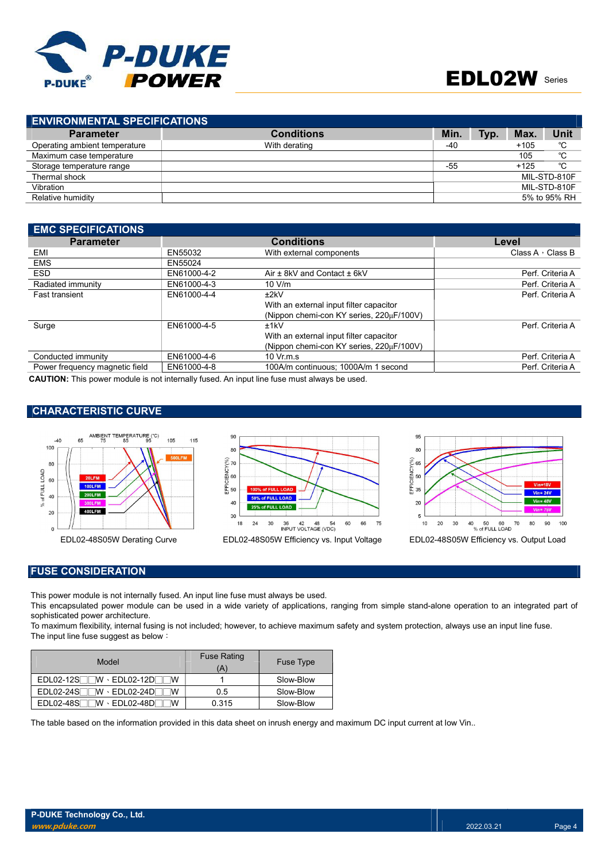

| <b>ENVIRONMENTAL SPECIFICATIONS</b> |                   |       |      |        |              |
|-------------------------------------|-------------------|-------|------|--------|--------------|
| <b>Parameter</b>                    | <b>Conditions</b> | Min.  | Typ. | Max.   | <b>Unit</b>  |
| Operating ambient temperature       | With derating     | -40   |      | $+105$ | °C           |
| Maximum case temperature            |                   |       |      | 105    | °C           |
| Storage temperature range           |                   | $-55$ |      | $+125$ | °C           |
| Thermal shock                       |                   |       |      |        | MIL-STD-810F |
| Vibration                           |                   |       |      |        | MIL-STD-810F |
| Relative humidity                   |                   |       |      |        | 5% to 95% RH |

| <b>EMC SPECIFICATIONS</b>                                                                                                                                                                                                          |             |                                          |                         |
|------------------------------------------------------------------------------------------------------------------------------------------------------------------------------------------------------------------------------------|-------------|------------------------------------------|-------------------------|
| <b>Parameter</b>                                                                                                                                                                                                                   |             | <b>Conditions</b>                        | Level                   |
| EMI                                                                                                                                                                                                                                | EN55032     | With external components                 | Class A $\cdot$ Class B |
| <b>EMS</b>                                                                                                                                                                                                                         | EN55024     |                                          |                         |
| <b>ESD</b>                                                                                                                                                                                                                         | EN61000-4-2 | Air ± 8kV and Contact ± 6kV              | Perf. Criteria A        |
| Radiated immunity                                                                                                                                                                                                                  | EN61000-4-3 | 10 V/m                                   | Perf. Criteria A        |
| <b>Fast transient</b>                                                                                                                                                                                                              | EN61000-4-4 | ±2kV                                     | Perf. Criteria A        |
|                                                                                                                                                                                                                                    |             | With an external input filter capacitor  |                         |
|                                                                                                                                                                                                                                    |             | (Nippon chemi-con KY series, 220µF/100V) |                         |
| Surge                                                                                                                                                                                                                              | EN61000-4-5 | ±1kV                                     | Perf. Criteria A        |
|                                                                                                                                                                                                                                    |             | With an external input filter capacitor  |                         |
|                                                                                                                                                                                                                                    |             | (Nippon chemi-con KY series, 220µF/100V) |                         |
| Conducted immunity                                                                                                                                                                                                                 | EN61000-4-6 | $10 \,$ Vr.m.s                           | Perf. Criteria A        |
| Power frequency magnetic field                                                                                                                                                                                                     | EN61000-4-8 | 100A/m continuous: 1000A/m 1 second      | Perf. Criteria A        |
| $\bullet$ and the set of the set of the set of the set of the set of the set of the set of the set of the set of the set of the set of the set of the set of the set of the set of the set of the set of the set of the set of the |             |                                          |                         |

CAUTION: This power module is not internally fused. An input line fuse must always be used.

#### CHARACTERISTIC CURVE







#### FUSE CONSIDERATION

This power module is not internally fused. An input line fuse must always be used.

This encapsulated power module can be used in a wide variety of applications, ranging from simple stand-alone operation to an integrated part of sophisticated power architecture.

To maximum flexibility, internal fusing is not included; however, to achieve maximum safety and system protection, always use an input line fuse. The input line fuse suggest as below:

| Model                                                    | <b>Fuse Rating</b><br>(A | <b>Fuse Type</b> |
|----------------------------------------------------------|--------------------------|------------------|
| $EDL02-12S$ $W \cdot EDL02-12D$                          |                          | Slow-Blow        |
| $EDLO2-24S$ $W \cdot EDLO2-24D$                          | 0.5                      | Slow-Blow        |
| $\overline{\ }$ W $\cdot$ EDL02-48DF<br>$EDL02-48S$<br>w | 0.315                    | Slow-Blow        |

The table based on the information provided in this data sheet on inrush energy and maximum DC input current at low Vin..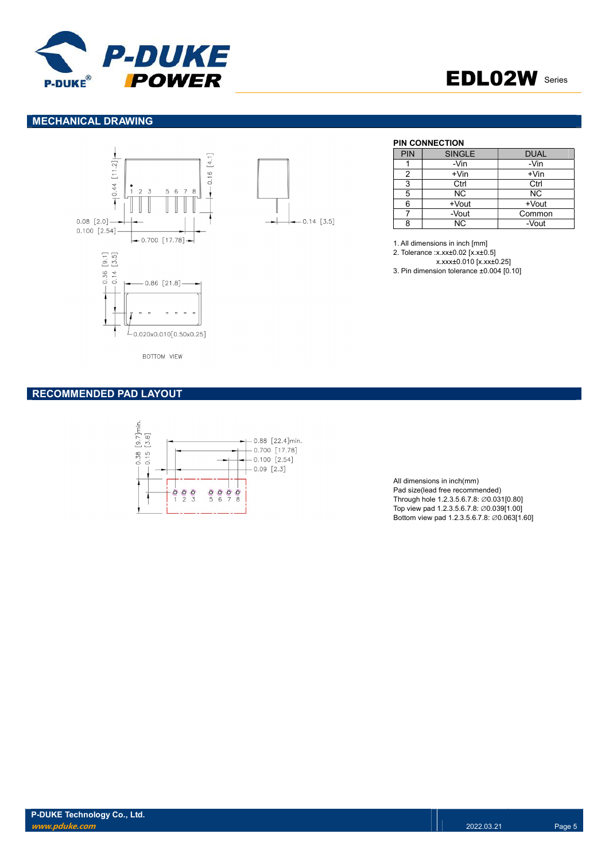



#### MECHANICAL DRAWING





#### PIN CONNECTION

| PIN | <b>SINGLE</b> | <b>DUAL</b> |
|-----|---------------|-------------|
|     | -Vin          | -Vin        |
| 2   | $+V$ in       | $+V$ in     |
| 3   | Ctrl          | Ctrl        |
| 5   | <b>NC</b>     | ΝC          |
| 6   | +Vout         | +Vout       |
|     | -Vout         | Common      |
| Ω   | NC.           | -Vout       |

1. All dimensions in inch [mm]

2. Tolerance :x.xx±0.02 [x.x±0.5]

x.xxx±0.010 [x.xx±0.25]

3. Pin dimension tolerance ±0.004 [0.10]

**BOTTOM VIEW** 

#### RECOMMENDED PAD LAYOUT



All dimensions in inch(mm) Pad size(lead free recommended) Through hole 1.2.3.5.6.7.8: ∅0.031[0.80] Top view pad 1.2.3.5.6.7.8: ∅0.039[1.00] Bottom view pad 1.2.3.5.6.7.8: ∅0.063[1.60]